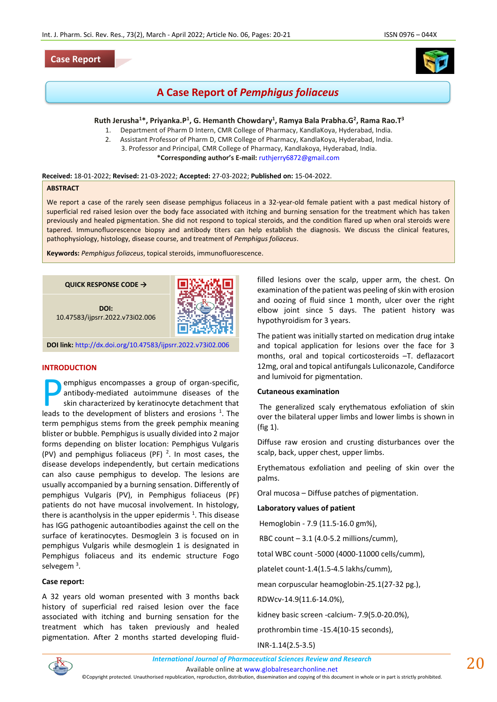# **Case Report**



# **A Case Report of** *Pemphigus foliaceus*

# **Ruth Jerusha<sup>1</sup>\*, Priyanka.P<sup>1</sup> , G. Hemanth Chowdary<sup>1</sup> , Ramya Bala Prabha.G<sup>2</sup> , Rama Rao.T<sup>3</sup>**

- 1. Department of Pharm D Intern, CMR College of Pharmacy, KandlaKoya, Hyderabad, India.
- 2. Assistant Professor of Pharm D, CMR College of Pharmacy, KandlaKoya, Hyderabad, India.
	- 3. Professor and Principal, CMR College of Pharmacy, Kandlakoya, Hyderabad, India.

**\*Corresponding author's E-mail:** [ruthjerry6872@gmail.com](mailto:ruthjerry6872@gmail.com)

**Received:** 18-01-2022; **Revised:** 21-03-2022; **Accepted:** 27-03-2022; **Published on:** 15-04-2022.

## **ABSTRACT**

We report a case of the rarely seen disease pemphigus foliaceus in a 32-year-old female patient with a past medical history of superficial red raised lesion over the body face associated with itching and burning sensation for the treatment which has taken previously and healed pigmentation. She did not respond to topical steroids, and the condition flared up when oral steroids were tapered. Immunofluorescence biopsy and antibody titers can help establish the diagnosis. We discuss the clinical features, pathophysiology, histology, disease course, and treatment of *Pemphigus foliaceus*.

**Keywords:** *Pemphigus foliaceus*, topical steroids, immunofluorescence.

**QUICK RESPONSE CODE →**

**DOI:** 10.47583/ijpsrr.2022.v73i02.006



**DOI link:** <http://dx.doi.org/10.47583/ijpsrr.2022.v73i02.006>

## **INTRODUCTION**

emphigus encompasses a group of organ-specific, antibody-mediated autoimmune diseases of the skin characterized by keratinocyte detachment that **Example 18 Separate Separate Separate Separate Separate Separate Separate Separate Separate Separate Separate Separate Separate Separate Separate Separate Separate Separate Separate Separate Separate Separate Separate Sep** term pemphigus stems from the greek pemphix meaning blister or bubble. Pemphigus is usually divided into 2 major forms depending on blister location: Pemphigus Vulgaris (PV) and pemphigus foliaceus (PF)  $2$ . In most cases, the disease develops independently, but certain medications can also cause pemphigus to develop. The lesions are usually accompanied by a burning sensation. Differently of pemphigus Vulgaris (PV), in Pemphigus foliaceus (PF) patients do not have mucosal involvement. In histology, there is acantholysis in the upper epidermis  $^1$ . This disease has IGG pathogenic autoantibodies against the cell on the surface of keratinocytes. Desmoglein 3 is focused on in pemphigus Vulgaris while desmoglein 1 is designated in Pemphigus foliaceus and its endemic structure Fogo selvegem <sup>3</sup>.

## **Case report:**

A 32 years old woman presented with 3 months back history of superficial red raised lesion over the face associated with itching and burning sensation for the treatment which has taken previously and healed pigmentation. After 2 months started developing fluidfilled lesions over the scalp, upper arm, the chest. On examination of the patient was peeling of skin with erosion and oozing of fluid since 1 month, ulcer over the right elbow joint since 5 days. The patient history was hypothyroidism for 3 years.

The patient was initially started on medication drug intake and topical application for lesions over the face for 3 months, oral and topical corticosteroids –T. deflazacort 12mg, oral and topical antifungals Luliconazole, Candiforce and lumivoid for pigmentation.

#### **Cutaneous examination**

The generalized scaly erythematous exfoliation of skin over the bilateral upper limbs and lower limbs is shown in (fig 1).

Diffuse raw erosion and crusting disturbances over the scalp, back, upper chest, upper limbs.

Erythematous exfoliation and peeling of skin over the palms.

Oral mucosa – Diffuse patches of pigmentation.

## **Laboratory values of patient**

Hemoglobin - 7.9 (11.5-16.0 gm%),

RBC count – 3.1 (4.0-5.2 millions/cumm),

total WBC count -5000 (4000-11000 cells/cumm),

platelet count-1.4(1.5-4.5 lakhs/cumm),

mean corpuscular heamoglobin-25.1(27-32 pg.),

RDWcv-14.9(11.6-14.0%),

kidney basic screen -calcium- 7.9(5.0-20.0%),

prothrombin time -15.4(10-15 seconds),

INR-1.14(2.5-3.5)



Available online a[t www.globalresearchonline.net](http://www.globalresearchonline.net/)

©Copyright protected. Unauthorised republication, reproduction, distribution, dissemination and copying of this document in whole or in part is strictly prohibited.